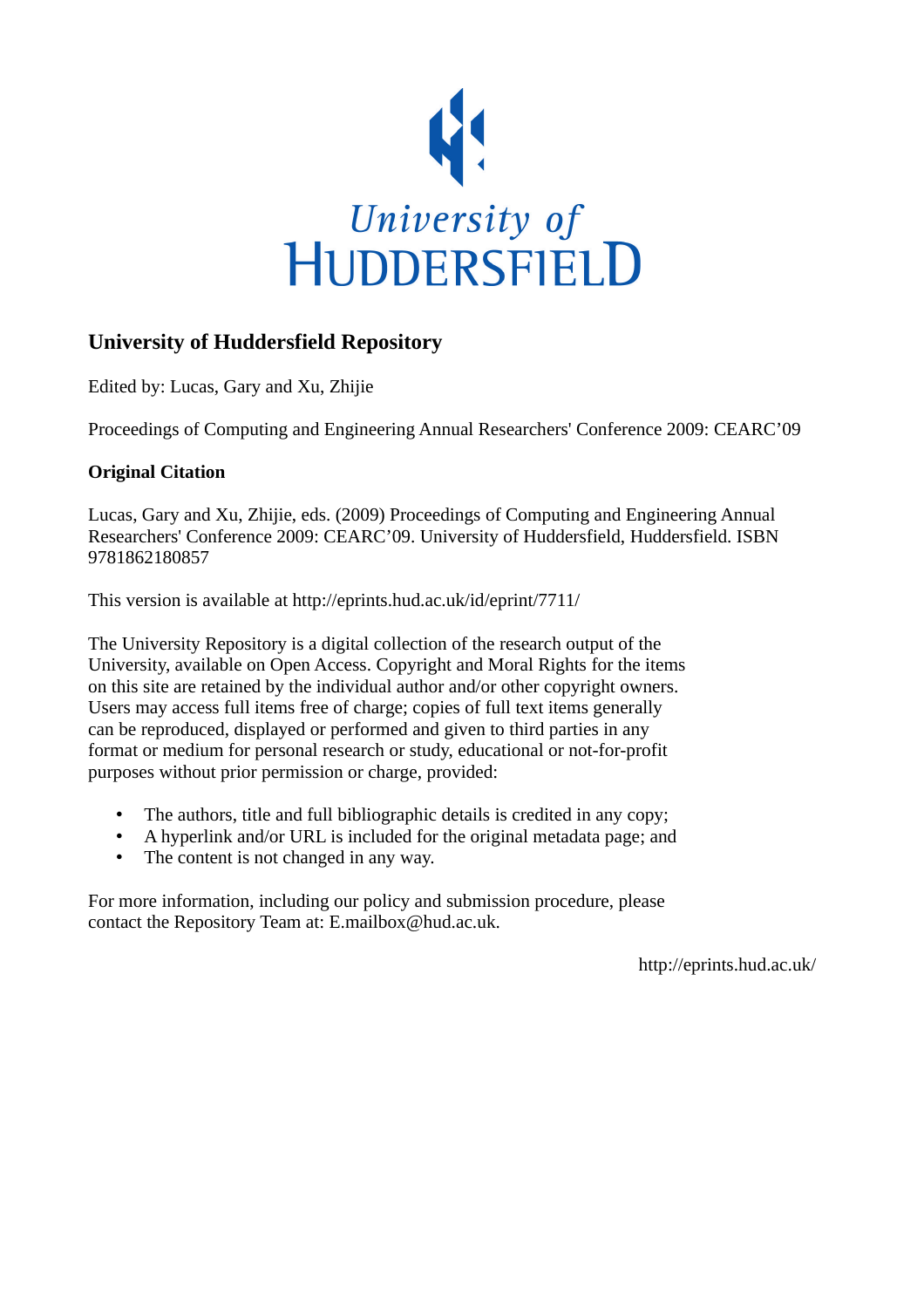

## **University of Huddersfield Repository**

Edited by: Lucas, Gary and Xu, Zhijie

Proceedings of Computing and Engineering Annual Researchers' Conference 2009: CEARC'09

## **Original Citation**

Lucas, Gary and Xu, Zhijie, eds. (2009) Proceedings of Computing and Engineering Annual Researchers' Conference 2009: CEARC'09. University of Huddersfield, Huddersfield. ISBN 9781862180857

This version is available at http://eprints.hud.ac.uk/id/eprint/7711/

The University Repository is a digital collection of the research output of the University, available on Open Access. Copyright and Moral Rights for the items on this site are retained by the individual author and/or other copyright owners. Users may access full items free of charge; copies of full text items generally can be reproduced, displayed or performed and given to third parties in any format or medium for personal research or study, educational or not-for-profit purposes without prior permission or charge, provided:

- The authors, title and full bibliographic details is credited in any copy;
- A hyperlink and/or URL is included for the original metadata page; and
- The content is not changed in any way.

For more information, including our policy and submission procedure, please contact the Repository Team at: E.mailbox@hud.ac.uk.

http://eprints.hud.ac.uk/